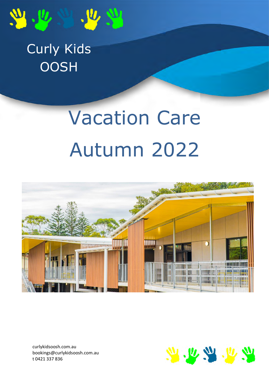

# Curly Kids **OOSH**

# Vacation Care Autumn 2022



curlykidsoosh.com.au bookings@curlykidsoosh.com.au t 0421 337 836

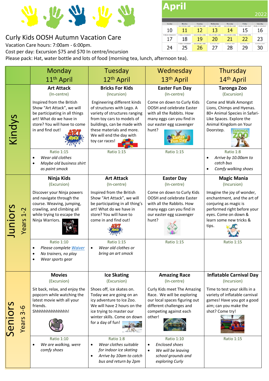

### Curly Kids OOSH Autumn Vacation Care

Vacation Care hours: 7:00am - 6:00pm.

Cost per day: Excursion \$75 and \$70 In centre/incursion

Please pack: Hat, water bottle and lots of food (morning tea, lunch, afternoon tea).

## **April**

| Sunday                | Monday                | Tuesday              | Wednesday            | <b>Thursday</b>      | Friday                | Saturday              |
|-----------------------|-----------------------|----------------------|----------------------|----------------------|-----------------------|-----------------------|
|                       | <b>VACATION CARE</b>  | <b>VACATION CARE</b> | <b>VACATION CARE</b> | <b>VACATION CARE</b> | <b>PUBLIC HOLIDAY</b> | <b>PUBLIC HOLIDAY</b> |
| 10                    |                       |                      | 13                   | 14                   | 15                    | 16                    |
| <b>PUBLIC HOLIDAY</b> | PUBLIC HOLIDAY        | <b>VACATION CARE</b> | <b>VACATION CARE</b> | <b>VACATION CARE</b> | <b>VACATION CARE</b>  |                       |
|                       | 18                    | 19                   | 20                   |                      | 22                    | 23                    |
|                       | <b>PUBLIC HOLIDAY</b> | <b>VACATION CARE</b> | <b>SCHOOL DAY</b>    | <b>SCHOOL DAY</b>    | <b>SCHOOL DAY</b>     | <b>SCHOOL DAY</b>     |
| 24                    | 25                    | 26                   | 27                   | 28                   | 29                    | 30                    |

|         |                  | Monday                                                                                                                                                                      | Tuesday                                                                                                                                                                                                                            | Wednesday                                                                                                                                                  | Thursday                                                                                                                                                                      |
|---------|------------------|-----------------------------------------------------------------------------------------------------------------------------------------------------------------------------|------------------------------------------------------------------------------------------------------------------------------------------------------------------------------------------------------------------------------------|------------------------------------------------------------------------------------------------------------------------------------------------------------|-------------------------------------------------------------------------------------------------------------------------------------------------------------------------------|
|         |                  | 11 <sup>th</sup> April                                                                                                                                                      | 12 <sup>th</sup> April                                                                                                                                                                                                             | 13 <sup>th</sup> April                                                                                                                                     | 14th April                                                                                                                                                                    |
|         |                  | <b>Art Attack</b><br>(In-centre)                                                                                                                                            | <b>Bricks For Kids</b><br>(Incursion)                                                                                                                                                                                              | <b>Easter Fun Day</b><br>(In-centre)                                                                                                                       | <b>Taronga Zoo</b><br>(Excursion)                                                                                                                                             |
| Kindys  |                  | Inspired from the British<br>Show "Art Attack", we will<br>be participating in all things<br>art! What do we have in<br>store? You will have to come<br>in and find out!    | Engineering different kinds<br>of structures with Lego. A<br>variety of structures ranging<br>from toy cars to models of<br>buildings, can be made with<br>these materials and more.<br>We will end the day with<br>toy car races! | Come on down to Curly Kids<br>OOSH and celebrate Easter<br>with all the Rabbits. How<br>many eggs can you find in<br>our easter egg scavenger<br>hunt?     | Come and Walk Amongst<br>Lions, Chimps and Hyenas.<br>80+ Animal Species in Safari-<br>Like Spaces. Explore the<br>Animal Kingdom on Your<br>Doorstep.<br><b>TARONGA</b>      |
|         |                  | Ratio 1:15<br>Wear old clothes<br>Maybe old business shirt<br>as paint smock                                                                                                | Ratio 1:15                                                                                                                                                                                                                         | Ratio 1:15                                                                                                                                                 | Ratio 1:8<br>Arrive by 10.00am to<br>$\bullet$<br>catch bus<br>Comfy walking shoes<br>$\bullet$                                                                               |
|         |                  | Ninja Kids<br>(Excursion)                                                                                                                                                   | <b>Art Attack</b><br>(In-centre)                                                                                                                                                                                                   | <b>Easter Day</b><br>(In-centre)                                                                                                                           | <b>Magic Mania</b><br>(Incursion)                                                                                                                                             |
| Juniors | $1 - 2$<br>Years | Discover your Ninja powers<br>and navigate through the<br>course. Weaving, jumping,<br>crawling, and climbing all<br>while trying to escape the<br>Ninja Warriors.<br>Nіиїа | Inspired from the British<br>Show "Art Attack", we will<br>be participating in all thing's<br>art! What do we have in<br>store? You will have to<br>come in and find out!                                                          | Come on down to Curly Kids<br>OOSH and celebrate Easter<br>with all the Rabbits. How<br>many eggs can you find in<br>our easter egg scavenger<br>hunt?     | Imagine the joy of wonder,<br>enchantment, and the art of<br>conjuring as magic is<br>performed right before your<br>eyes. Come on down &<br>learn some new tricks &<br>tips. |
|         |                  | Ratio 1:10<br>Please complete Waiver<br>No trainers, no play<br>Wear sports gear                                                                                            | Ratio 1:15<br>Wear old clothes or<br>bring an art smock                                                                                                                                                                            | Ratio 1:15                                                                                                                                                 | Ratio 1:15                                                                                                                                                                    |
|         |                  | <b>Movies</b><br>(Excursion)                                                                                                                                                | <b>Ice Skating</b><br>(Excursion)                                                                                                                                                                                                  | <b>Amazing Race</b><br>(In-centre)                                                                                                                         | <b>Inflatable Carnival Day</b><br>(Incursion)                                                                                                                                 |
| Seniors | $3 - 6$<br>Years | Sit back, relax, and enjoy the<br>popcorn while watching the<br>latest movie with all your<br>friends.<br>Shhhhhhhhhhhhh!                                                   | Shoes off, ice skates on.<br>Today we are going on an<br>icy adventure to Ice Zoo.<br>We will have 2 hours on the<br>ice trying to master our<br>winter skills. Come on down<br>for a day of fun!                                  | Curly Kids meet The Amazing<br>Race. We will be exploring<br>our local spaces figuring out<br>different challenges and<br>competing against each<br>other! | Time to test your skills in a<br>variety of inflatable carnival<br>games! Have you got a good<br>aim; can you make the<br>shot? Come try!                                     |
|         |                  | Ratio 1:10<br>We are walking, were<br>comfy shoes                                                                                                                           | Ratio 1:8<br>Wear clothes suitable<br>for indoor ice skating<br>Arrive by 10am to catch<br>bus and return by 2pm                                                                                                                   | Ratio 1:10<br><b>Enclosed shoes</b><br>$\bullet$<br>We will be leaving<br>$\bullet$<br>school grounds and<br>exploring Curly                               | Ratio 1:15                                                                                                                                                                    |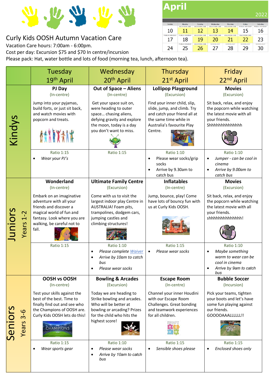

#### Curly Kids OOSH Autumn Vacation Care

Vacation Care hours: 7:00am - 6:00pm.

Cost per day: Excursion \$75 and \$70 In centre/incursion

Please pack: Hat, water bottle and lots of food (morning tea, lunch, afternoon tea).

**April** 

|                |                       |                      |                      |                      |                       | ZUZZ                  |
|----------------|-----------------------|----------------------|----------------------|----------------------|-----------------------|-----------------------|
|                |                       |                      |                      |                      |                       |                       |
| Sunday         | Monday                | Tuesday              | Wednesday            | Thursday             | Friday                | Saturday              |
|                | <b>VACATION CARE</b>  | <b>VACATION CARE</b> | <b>VACATION CARE</b> | <b>VACATION CARE</b> | <b>PUBLIC HOLIDAY</b> | <b>PUBLIC HOLIDAY</b> |
| 10             | 11                    | 12                   | 13                   | 14                   | 15                    | 16                    |
| PUBLIC HOLIDAY | PUBLIC HOLIDAY        | <b>VACATION CARE</b> | <b>VACATION CARE</b> | <b>VACATION CARE</b> | <b>VACATION CARE</b>  |                       |
| 17             | 18                    | 19                   | 20                   | 21                   | 22                    | 23                    |
|                | <b>PUBLIC HOLIDAY</b> | <b>VACATION CARE</b> | <b>SCHOOL DAY</b>    | <b>SCHOOL DAY</b>    | <b>SCHOOL DAY</b>     | <b>SCHOOL DAY</b>     |
| 24             | 25                    | 26                   | 27                   | 28                   | 29                    | 30                    |
|                |                       |                      |                      |                      |                       |                       |

 $022$ 

|         |                | Tuesday                                                                                                                                                                         | Wednesday                                                                                                                                                       | Thursday                                                                                                                                                       | Friday                                                                                                                    |
|---------|----------------|---------------------------------------------------------------------------------------------------------------------------------------------------------------------------------|-----------------------------------------------------------------------------------------------------------------------------------------------------------------|----------------------------------------------------------------------------------------------------------------------------------------------------------------|---------------------------------------------------------------------------------------------------------------------------|
|         |                | 19th April                                                                                                                                                                      | 20 <sup>th</sup> April                                                                                                                                          | 21 <sup>st</sup> April                                                                                                                                         | 22nd April                                                                                                                |
|         |                | PJ Day<br>(In-centre)                                                                                                                                                           | <b>Out of Space - Aliens</b><br>(In-centre)                                                                                                                     | <b>Lollipop Playground</b><br>(Excursion)                                                                                                                      | <b>Movies</b><br>(Excursion)                                                                                              |
| Kindys  |                | Jump into your pyjamas,<br>build forts, or just sit back,<br>and watch movies with<br>popcorn and treats.                                                                       | Get your space suit on,<br>were heading to outer<br>space chasing aliens,<br>defying gravity and explore<br>the moon, today is a day<br>you don't want to miss. | Find your inner child, slip,<br>slide, jump, and climb. Try<br>and catch your friend all at<br>the same time while in<br>Australia's favourite Play<br>Centre. | Sit back, relax, and enjoy<br>the popcorn while watching<br>the latest movie with all<br>your friends.<br>Shhhhhhhhhhhhh  |
|         |                |                                                                                                                                                                                 |                                                                                                                                                                 |                                                                                                                                                                |                                                                                                                           |
|         |                | Ratio 1:15<br>Wear your PJ's                                                                                                                                                    | Ratio 1:15                                                                                                                                                      | Ratio 1:10<br>Please wear socks/grip<br>$\bullet$<br>socks<br>Arrive by 9.30am to<br>$\bullet$<br>catch bus                                                    | Ratio 1:10<br>Jumper - can be cool in<br>$\bullet$<br>cinema<br>Arrive by 9.00am to<br>$\bullet$<br>catch bus             |
|         |                | Wonderland<br>(In-centre)                                                                                                                                                       | <b>Ultimate Family Centre</b><br>(Excursion)                                                                                                                    | <b>Inflatables</b><br>(In-centre)                                                                                                                              | <b>Movies</b><br>(Excursion)                                                                                              |
| Juniors | $1-2$<br>Years | Embark on an imaginative<br>adventure with all your<br>friends and discover a<br>magical world of fun and<br>fantasy. Look where you are<br>walking, be careful not to<br>fall. | Come with us to visit the<br>largest indoor play Centre in<br>AUSTRALIA! Foam pits,<br>trampolines, dodgem cars,<br>jumping castles and<br>climbing structures! | Jump, bounce, play! Come<br>have lots of bouncy fun with<br>us at Curly Kids OOSH.                                                                             | Sit back, relax, and enjoy<br>the popcorn while watching<br>the latest movie with all<br>your friends.<br>shhhhhhhhhhhhh! |
|         |                | <b>Ratio 1:15</b>                                                                                                                                                               | Ratio 1:10<br>Please complete Waiver<br>Arrive by 10am to catch<br>bus<br>Please wear socks                                                                     | Ratio 1:15<br>Please wear socks<br>$\bullet$                                                                                                                   | Ratio 1:10<br>Maybe something<br>$\bullet$<br>warm to wear can be<br>cool in cinema<br>Arrive by 9am to catch<br>bus      |
|         |                | OOSH vs OOSH<br>(In-centre)                                                                                                                                                     | <b>Bowling &amp; Arcades</b><br>(Excursion)                                                                                                                     | <b>Escape Room</b><br>(In-centre)                                                                                                                              | <b>Bubble Soccer</b><br>(Incursion)                                                                                       |
| Seniors | $3-6$          | Test your skills against the<br>best of the best. Time to<br>finally find out and see who<br>the Champions of OOSH are.<br>Curly Kids OOSH lets do this!                        | Today we are heading to<br>Strike bowling and arcades.<br>Who will be better at<br>bowling or arcading? Prizes<br>for the child who hits the<br>highest score!  | Channel your inner Houdini<br>with our Escape Room<br>Challenges. Great bonding<br>and teamwork experiences<br>for all children.<br><b>ESCAPE</b>              | Pick your teams, tighten<br>your boots and let's have<br>some fun playing against<br>our friends.<br>GOOOOAAALLLLLL!!     |
|         | Years          | CHAMPIONS<br>Ratio 1:15<br>Wear sports gear                                                                                                                                     | Ratio 1:10<br>Please wear socks<br>Arrive by 10am to catch<br>bus                                                                                               | Ratio 1:15<br>Sensible shoes please                                                                                                                            | Ratio 1:15<br>Enclosed shoes only<br>$\bullet$                                                                            |
|         |                |                                                                                                                                                                                 |                                                                                                                                                                 |                                                                                                                                                                |                                                                                                                           |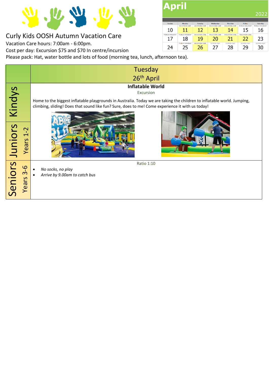

### Curly Kids OOSH Autumn Vacation Care

Vacation Care hours: 7:00am - 6:00pm.

Cost per day: Excursion \$75 and \$70 In centre/incursion

Please pack: Hat, water bottle and lots of food (morning tea, lunch, afternoon tea).

|         |                                                    | Tuesday<br>26 <sup>th</sup> April                                                                                                                                                                                                                                   |  |  |  |
|---------|----------------------------------------------------|---------------------------------------------------------------------------------------------------------------------------------------------------------------------------------------------------------------------------------------------------------------------|--|--|--|
| Kindys  |                                                    | <b>Inflatable World</b><br>Excursion<br>Home to the biggest inflatable playgrounds in Australia. Today we are taking the children to inflatable world. Jumping,<br>climbing, sliding! Does that sound like fun? Sure, does to me! Come experience it with us today! |  |  |  |
|         |                                                    |                                                                                                                                                                                                                                                                     |  |  |  |
| Juniors | $\mathsf{\sim}$<br>Years                           |                                                                                                                                                                                                                                                                     |  |  |  |
| Seniors | $\frac{6}{1}$<br>$\overline{m}$<br>SJe<br>$\omega$ | Ratio 1:10<br>No socks, no play<br>Arrive by 9.00am to catch bus                                                                                                                                                                                                    |  |  |  |

**April** 

10 **LIC HO** 

17

24

11

18

25

Tuesday<br>Change Can

 $12$ 

19

26

Wednesday<br>ACATION CA

13

 $20\,$ 

27

Thursday<br>CATION CA

14

21

28

**TION CAR** 

 $Friday$ 

15

22

29

2022

Saturday<br>-----------

16

23  $30<sup>2</sup>$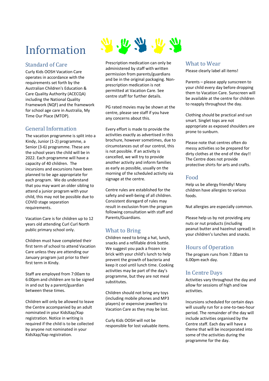# Information

#### **Standard of Care**

Curly Kids OOSH Vacation Care operates in accordance with the requirements set forth by the Australian Children's Education & Care Quality Authority (ACECQA) including the National Quality Framework (NQF) and the framework for school age care in Australia, My Time Our Place (MTOP).

### General Information

The vacation programme is split into a Kindy, Junior (1-2) programme, a Senior (3-6) programme. These are the school years the child will be in 2022. Each programme will have a capacity of 40 children. The incursions and excursions have been planned to be age appropriate for each program. We do understand that you may want an older sibling to attend a junior program with your child, this may not be possible due to COVID stage separation requirements.

Vacation Care is for children up to 12 years old attending Curl Curl North public primary school only.

Children must have completed their first term of school to attend Vacation Care unless they are attending our January program just prior to their first term in Kindy.

Staff are employed from 7:00am to 6:00pm and children are to be signed in and out by a parent/guardian between these times.

Children will only be allowed to leave the Centre accompanied by an adult nominated in your KidsXap/Xap registration. Notice in writing is required if the child is to be collected by anyone not nominated in your KidsXap/Xap registration.



Prescription medication can only be administered by staff with written permission from parents/guardians and be in the original packaging. Nonprescription medication is not permitted at Vacation Care. See centre staff for further details.

PG rated movies may be shown at the centre, please see staff if you have any concerns about this.

Every effort is made to provide the activities exactly as advertised in this brochure, however sometimes, due to circumstances out of our control, this is not possible. If an activity is cancelled, we will try to provide another activity and inform families as early as possible, usually on the morning of the scheduled activity via signage at the centre.

Centre rules are established for the safety and well-being of all children. Consistent disregard of rules may result in exclusion from the program following consultation with staff and Parents/Guardians.

#### **What to Bring**

Children need to bring a hat, lunch, snacks and a refillable drink bottle. We suggest you pack a frozen ice brick with your child's lunch to help prevent the growth of bacteria and keep it cool until lunch time. Cooking activities may be part of the day's programme, but they are not meal substitutes.

Children should not bring any toys (including mobile phones and MP3 players) or expensive jewellery to Vacation Care as they may be lost.

Curly Kids OOSH will not be responsible for lost valuable items.

#### **What to Wear**

Please clearly label all items!

Parents – please apply sunscreen to your child every day before dropping them to Vacation Care. Sunscreen will be available at the centre for children to reapply throughout the day.

Clothing should be practical and sun smart. Singlet tops are not appropriate as exposed shoulders are prone to sunburn.

Please note that centres often do messy activities so be prepared for dirty clothes at the end of the day!! The Centre does not provide protective shirts for arts and crafts.

#### Food

Help us be allergy friendly! Many children have allergies to various foods.

Nut allergies are especially common.

Please help us by not providing any nuts or nut products (including peanut butter and hazelnut spread) in your children's lunches and snacks.

#### **Hours of Operation**

The program runs from 7.00am to 6.00pm each day.

#### In Centre Days

Activities vary throughout the day and allow for sessions of high and low activities.

Incursions scheduled for certain days will usually run for a one-to-two-hour period. The remainder of the day will include activities organised by the Centre staff. Each day will have a theme that will be incorporated into some of the activities during the programme for the day.